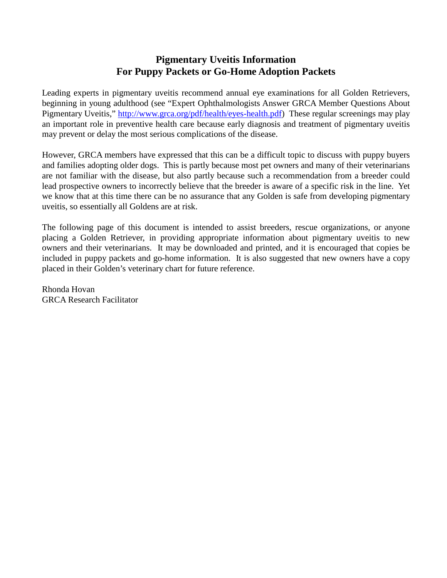## **Pigmentary Uveitis Information For Puppy Packets or Go-Home Adoption Packets**

Leading experts in pigmentary uveitis recommend annual eye examinations for all Golden Retrievers, beginning in young adulthood (see "Expert Ophthalmologists Answer GRCA Member Questions About Pigmentary Uveitis," [http://www.grca.org/pdf/health/eyes-health.pdf\)](http://www.grca.org/pdf/health/eyes-health.pdf) These regular screenings may play an important role in preventive health care because early diagnosis and treatment of pigmentary uveitis may prevent or delay the most serious complications of the disease.

However, GRCA members have expressed that this can be a difficult topic to discuss with puppy buyers and families adopting older dogs. This is partly because most pet owners and many of their veterinarians are not familiar with the disease, but also partly because such a recommendation from a breeder could lead prospective owners to incorrectly believe that the breeder is aware of a specific risk in the line. Yet we know that at this time there can be no assurance that any Golden is safe from developing pigmentary uveitis, so essentially all Goldens are at risk.

The following page of this document is intended to assist breeders, rescue organizations, or anyone placing a Golden Retriever, in providing appropriate information about pigmentary uveitis to new owners and their veterinarians. It may be downloaded and printed, and it is encouraged that copies be included in puppy packets and go-home information. It is also suggested that new owners have a copy placed in their Golden's veterinary chart for future reference.

Rhonda Hovan GRCA Research Facilitator